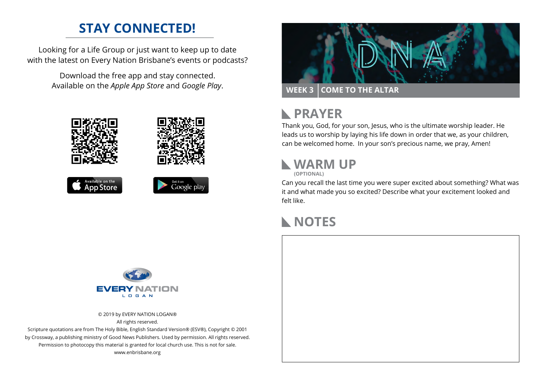## **STAY CONNECTED!**

Looking for a Life Group or just want to keep up to date with the latest on Every Nation Brisbane's events or podcasts?

> Download the free app and stay connected. Available on the *Apple App Store* and *Google Play*.





## **N** PRAYER

Thank you, God, for your son, Jesus, who is the ultimate worship leader. He leads us to worship by laying his life down in order that we, as your children, can be welcomed home. In your son's precious name, we pray, Amen!

## **WARM UP**

**(OPTIONAL)**

Can you recall the last time you were super excited about something? What was it and what made you so excited? Describe what your excitement looked and felt like.

## **NOTES**



© 2019 by EVERY NATION LOGAN® All rights reserved.

Scripture quotations are from The Holy Bible, English Standard Version® (ESV®), Copyright © 2001 by Crossway, a publishing ministry of Good News Publishers. Used by permission. All rights reserved. Permission to photocopy this material is granted for local church use. This is not for sale. www.enbrisbane.org